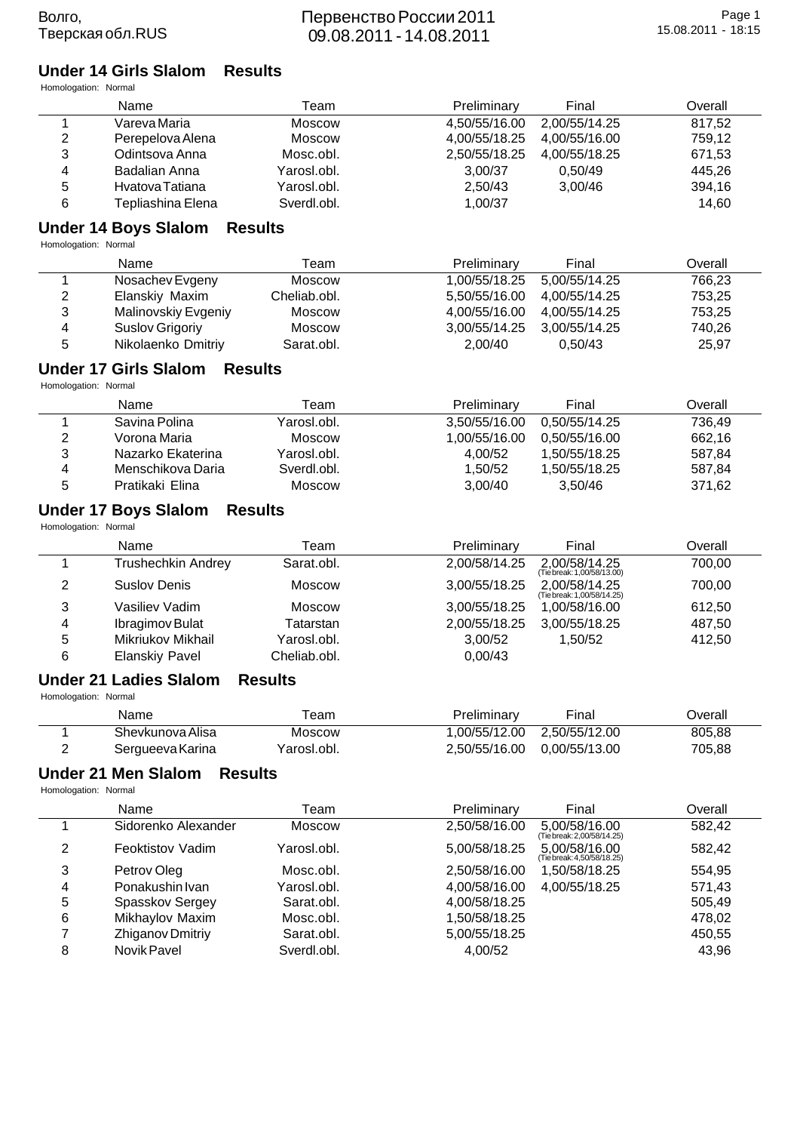Волго,

| Homologation: Normal | <b>Under 14 Girls Slalom</b>                   | <b>Results</b> |               |                                             |         |
|----------------------|------------------------------------------------|----------------|---------------|---------------------------------------------|---------|
|                      | Name                                           | Team           | Preliminary   | Final                                       | Overall |
| $\mathbf{1}$         | Vareva Maria                                   | Moscow         | 4,50/55/16.00 | 2,00/55/14.25                               | 817,52  |
| $\mathbf 2$          | Perepelova Alena                               | <b>Moscow</b>  | 4,00/55/18.25 | 4,00/55/16.00                               | 759,12  |
| 3                    | Odintsova Anna                                 | Mosc.obl.      | 2,50/55/18.25 | 4,00/55/18.25                               | 671,53  |
| 4                    | <b>Badalian Anna</b>                           | Yarosl.obl.    | 3,00/37       | 0,50/49                                     | 445,26  |
| 5                    | Hvatova Tatiana                                | Yarosl.obl.    | 2,50/43       | 3,00/46                                     | 394,16  |
| 6                    | Tepliashina Elena                              | Sverdl.obl.    | 1,00/37       |                                             | 14,60   |
| Homologation: Normal | <b>Under 14 Boys Slalom</b>                    | <b>Results</b> |               |                                             |         |
|                      | Name                                           | Team           | Preliminary   | Final                                       | Overall |
| 1                    | Nosachev Evgeny                                | Moscow         | 1,00/55/18.25 | 5,00/55/14.25                               | 766,23  |
| 2                    | Elanskiy Maxim                                 | Cheliab.obl.   | 5,50/55/16.00 | 4,00/55/14.25                               | 753,25  |
| 3                    | Malinovskiy Evgeniy                            | <b>Moscow</b>  | 4,00/55/16.00 | 4,00/55/14.25                               | 753,25  |
| 4                    | <b>Suslov Grigoriy</b>                         | <b>Moscow</b>  | 3,00/55/14.25 | 3,00/55/14.25                               | 740,26  |
| 5                    | Nikolaenko Dmitriy                             | Sarat.obl.     | 2,00/40       | 0,50/43                                     | 25,97   |
|                      | <b>Under 17 Girls Slalom</b><br><b>Results</b> |                |               |                                             |         |
| Homologation: Normal | Name                                           | Team           | Preliminary   | Final                                       | Overall |
| 1                    | Savina Polina                                  | Yarosl.obl.    | 3,50/55/16.00 | 0,50/55/14.25                               | 736,49  |
| $\overline{2}$       | Vorona Maria                                   | Moscow         | 1,00/55/16.00 | 0,50/55/16.00                               | 662,16  |
| $\mathsf 3$          | Nazarko Ekaterina                              | Yarosl.obl.    | 4,00/52       | 1,50/55/18.25                               | 587,84  |
| 4                    | Menschikova Daria                              | Sverdl.obl.    | 1,50/52       | 1,50/55/18.25                               | 587,84  |
| 5                    | Pratikaki Elina                                | <b>Moscow</b>  | 3,00/40       | 3,50/46                                     | 371,62  |
| Homologation: Normal | <b>Under 17 Boys Slalom</b>                    | <b>Results</b> |               |                                             |         |
|                      | Name                                           | Team           | Preliminary   | Final                                       | Overall |
| 1                    | <b>Trushechkin Andrey</b>                      | Sarat.obl.     | 2,00/58/14.25 | 2,00/58/14.25<br>(Tie break: 1,00/58/13.00) | 700,00  |
| 2                    | <b>Suslov Denis</b>                            | <b>Moscow</b>  | 3,00/55/18.25 | 2,00/58/14.25<br>(Tie break: 1,00/58/14.25) | 700,00  |
| 3                    | Vasiliev Vadim                                 | Moscow         | 3,00/55/18.25 | 1,00/58/16.00                               | 612,50  |
| 4                    | Ibragimov Bulat                                | Tatarstan      | 2,00/55/18.25 | 3,00/55/18.25                               | 487,50  |
| 5                    | Mikriukov Mikhail                              | Yarosl.obl.    | 3,00/52       | 1,50/52                                     | 412,50  |
| 6                    | <b>Elanskiy Pavel</b>                          | Cheliab.obl.   | 0,00/43       |                                             |         |
| Homologation: Normal | <b>Under 21 Ladies Slalom</b>                  | <b>Results</b> |               |                                             |         |
|                      | Name                                           | Team           | Preliminary   | Final                                       | Overall |
| 1                    | Shevkunova Alisa                               | <b>Moscow</b>  | 1,00/55/12.00 | 2,50/55/12.00                               | 805,88  |
| $\overline{2}$       | Sergueeva Karina                               | Yarosl.obl.    | 2,50/55/16.00 | 0,00/55/13.00                               | 705,88  |
| Homologation: Normal | <b>Under 21 Men Slalom</b><br><b>Results</b>   |                |               |                                             |         |
|                      | Name                                           | Team           | Preliminary   | Final                                       | Overall |
| 1                    | Sidorenko Alexander                            | Moscow         | 2,50/58/16.00 | 5,00/58/16.00<br>(Tie break: 2,00/58/14.25) | 582,42  |
| 2                    | Feoktistov Vadim                               | Yarosl.obl.    | 5,00/58/18.25 | 5,00/58/16.00<br>(Tie break: 4,50/58/18.25) | 582,42  |
| 3                    | Petrov Oleg                                    | Mosc.obl.      | 2,50/58/16.00 | 1,50/58/18.25                               | 554,95  |
| 4                    | Ponakushin Ivan                                | Yarosl.obl.    | 4,00/58/16.00 | 4,00/55/18.25                               | 571,43  |
| 5                    | Spasskov Sergey                                | Sarat.obl.     | 4,00/58/18.25 |                                             | 505,49  |
| 6                    | Mikhaylov Maxim                                | Mosc.obl.      | 1,50/58/18.25 |                                             | 478,02  |
| 7                    | Zhiganov Dmitriv                               | Sarat.obl.     | 5.00/55/18.25 |                                             | 450.55  |

7 Zhiganov Drintiy Sarat.obl. 5,00/55/18.25 Alexander Afolto According to the Street Afolto Sverdi.<br>8 Novik Pavel Sverdi.obl. 4,00/52 A3,96 Surdi.com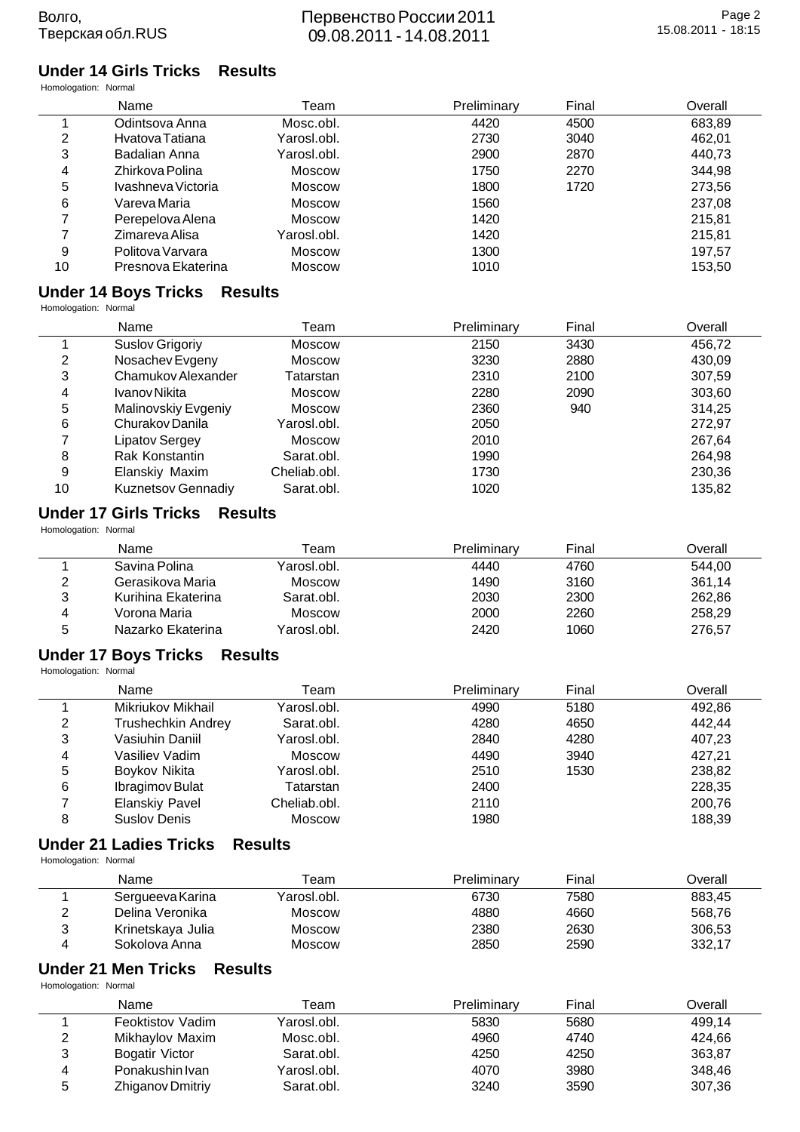#### **Under 14 Girls Tricks Results** Homologation: Normal

| HUITIUIUU GIIUTI. INUITIAI |                    |               |             |       |         |
|----------------------------|--------------------|---------------|-------------|-------|---------|
|                            | Name               | Team          | Preliminary | Final | Overall |
|                            | Odintsova Anna     | Mosc.obl.     | 4420        | 4500  | 683,89  |
| 2                          | Hvatova Tatiana    | Yarosl.obl.   | 2730        | 3040  | 462,01  |
| 3                          | Badalian Anna      | Yarosl.obl.   | 2900        | 2870  | 440,73  |
| 4                          | Zhirkova Polina    | <b>Moscow</b> | 1750        | 2270  | 344,98  |
| 5                          | Ivashneva Victoria | Moscow        | 1800        | 1720  | 273,56  |
| 6                          | Vareva Maria       | Moscow        | 1560        |       | 237,08  |
| 7                          | Perepelova Alena   | <b>Moscow</b> | 1420        |       | 215,81  |
|                            | Zimareva Alisa     | Yarosl.obl.   | 1420        |       | 215,81  |
| 9                          | Politova Varvara   | <b>Moscow</b> | 1300        |       | 197.57  |
| 10                         | Presnova Ekaterina | Moscow        | 1010        |       | 153,50  |
|                            |                    |               |             |       |         |

#### **Under 14 Boys Tricks Results**

Homologation: Normal

 $\blacksquare$ 

|    | Name                      | Team          | Preliminary | Final | Overall |
|----|---------------------------|---------------|-------------|-------|---------|
|    | Suslov Grigoriy           | Moscow        | 2150        | 3430  | 456,72  |
| 2  | Nosachev Evgeny           | <b>Moscow</b> | 3230        | 2880  | 430,09  |
| 3  | Chamukov Alexander        | Tatarstan     | 2310        | 2100  | 307,59  |
| 4  | Ivanov Nikita             | <b>Moscow</b> | 2280        | 2090  | 303,60  |
| 5  | Malinovskiy Evgeniy       | <b>Moscow</b> | 2360        | 940   | 314,25  |
| 6  | Churakov Danila           | Yarosl.obl.   | 2050        |       | 272,97  |
| 7  | Lipatov Sergey            | <b>Moscow</b> | 2010        |       | 267,64  |
| 8  | Rak Konstantin            | Sarat.obl.    | 1990        |       | 264,98  |
| 9  | Elanskiy Maxim            | Cheliab.obl.  | 1730        |       | 230,36  |
| 10 | <b>Kuznetsov Gennadiy</b> | Sarat.obl.    | 1020        |       | 135,82  |

### **Under 17 Girls Tricks Results**

Homologation: Normal

|   | Name               | Team        | Preliminary | Final | Overall |
|---|--------------------|-------------|-------------|-------|---------|
|   | Savina Polina      | Yarosl.obl. | 4440        | 4760  | 544.00  |
| າ | Gerasikova Maria   | Moscow      | 1490        | 3160  | 361.14  |
| 3 | Kurihina Ekaterina | Sarat.obl.  | 2030        | 2300  | 262,86  |
| 4 | Vorona Maria       | Moscow      | 2000        | 2260  | 258,29  |
| 5 | Nazarko Ekaterina  | Yarosl.obl. | 2420        | 1060  | 276,57  |

#### **Under 17 Boys Tricks Results**

Homologation: Normal

|   | Name                  | Team          | Preliminary | Final | Overall |
|---|-----------------------|---------------|-------------|-------|---------|
|   | Mikriukov Mikhail     | Yarosl.obl.   | 4990        | 5180  | 492,86  |
| っ | Trushechkin Andrey    | Sarat.obl.    | 4280        | 4650  | 442.44  |
| 3 | Vasiuhin Daniil       | Yarosl.obl.   | 2840        | 4280  | 407,23  |
| 4 | Vasiliev Vadim        | Moscow        | 4490        | 3940  | 427.21  |
| 5 | Boykov Nikita         | Yarosl.obl.   | 2510        | 1530  | 238,82  |
| 6 | Ibragimov Bulat       | Tatarstan     | 2400        |       | 228,35  |
|   | <b>Elanskiy Pavel</b> | Cheliab.obl.  | 2110        |       | 200,76  |
| 8 | Suslov Denis          | <b>Moscow</b> | 1980        |       | 188.39  |

#### **Under 21 Ladies Tricks Results**

Homologation: Normal

|   | Name              | Геаm        | Preliminary | Final | Overall |
|---|-------------------|-------------|-------------|-------|---------|
|   | Sergueeva Karina  | Yarosl.obl. | 6730        | 7580  | 883.45  |
|   | Delina Veronika   | Moscow      | 4880        | 4660  | 568.76  |
| າ | Krinetskaya Julia | Moscow      | 2380        | 2630  | 306,53  |
|   | Sokolova Anna     | Moscow      | 2850        | 2590  | 332,17  |

#### **Under 21 Men Tricks Results**

Homologation: Normal

|   | Name                    | Геаm        | Preliminary | Final | Overall |
|---|-------------------------|-------------|-------------|-------|---------|
|   | <b>Feoktistov Vadim</b> | Yarosl.obl. | 5830        | 5680  | 499.14  |
| 2 | Mikhaylov Maxim         | Mosc.obl.   | 4960        | 4740  | 424.66  |
| 3 | Bogatir Victor          | Sarat.obl.  | 4250        | 4250  | 363,87  |
| 4 | Ponakushin Ivan         | Yarosl.obl. | 4070        | 3980  | 348,46  |
| 5 | Zhiganov Dmitriy        | Sarat.obl.  | 3240        | 3590  | 307,36  |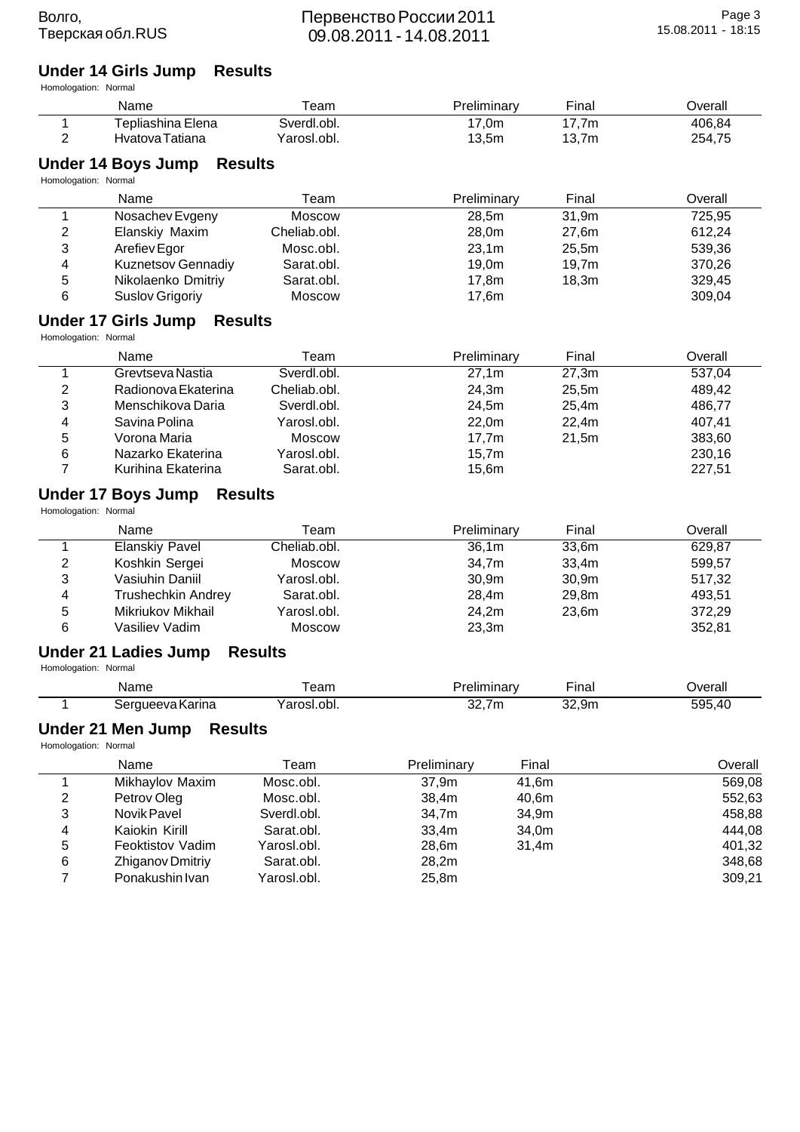# **Under 14 Girls Jump Results**

| Homologation: Normal |  |
|----------------------|--|
|                      |  |

 $\overline{\phantom{a}}$ 

| Humologalion. Numai  | Name                                                | Team           | Preliminary |       | Final | Overall                    |
|----------------------|-----------------------------------------------------|----------------|-------------|-------|-------|----------------------------|
| 1                    | Tepliashina Elena                                   | Sverdl.obl.    | 17,0m       |       | 17,7m | 406,84                     |
| 2                    | Hvatova Tatiana                                     | Yarosl.obl.    | 13,5m       |       | 13,7m | 254,75                     |
| Homologation: Normal | <b>Under 14 Boys Jump</b><br><b>Results</b>         |                |             |       |       |                            |
|                      | Name                                                | Team           | Preliminary |       | Final | Overall                    |
| 1                    | Nosachev Evgeny                                     | Moscow         | 28,5m       |       | 31,9m | 725,95                     |
| 2                    | Elanskiy Maxim                                      | Cheliab.obl.   | 28,0m       |       | 27,6m | 612,24                     |
| 3                    | Arefiev Egor                                        | Mosc.obl.      | 23,1m       |       | 25,5m | 539,36                     |
| 4                    | Kuznetsov Gennadiy                                  | Sarat.obl.     | 19,0m       |       | 19,7m | 370,26                     |
| 5                    | Nikolaenko Dmitriy                                  | Sarat.obl.     | 17,8m       |       | 18,3m | 329,45                     |
| 6                    | Suslov Grigoriy                                     | <b>Moscow</b>  | 17,6m       |       |       | 309,04                     |
| Homologation: Normal | <b>Under 17 Girls Jump</b><br><b>Results</b>        |                |             |       |       |                            |
|                      | Name                                                | Team           | Preliminary |       | Final | Overall                    |
| 1                    | Grevtseva Nastia                                    | Sverdl.obl.    | 27,1m       |       | 27,3m | 537,04                     |
| 2                    | Radionova Ekaterina                                 | Cheliab.obl.   | 24,3m       |       | 25,5m | 489,42                     |
| 3                    | Menschikova Daria                                   | Sverdl.obl.    | 24,5m       |       | 25,4m | 486,77                     |
| 4                    | Savina Polina                                       | Yarosl.obl.    | 22,0m       |       | 22,4m | 407,41                     |
| 5                    | Vorona Maria                                        | <b>Moscow</b>  | 17,7m       |       | 21,5m | 383,60                     |
| 6                    | Nazarko Ekaterina                                   | Yarosl.obl.    | 15,7m       |       |       | 230,16                     |
| 7                    | Kurihina Ekaterina                                  | Sarat.obl.     | 15,6m       |       |       | 227,51                     |
| Homologation: Normal | <b>Under 17 Boys Jump</b><br><b>Results</b><br>Name | Team           | Preliminary |       | Final | Overall                    |
| 1                    | <b>Elanskiy Pavel</b>                               | Cheliab.obl.   | 36,1m       |       | 33,6m | 629,87                     |
| 2                    | Koshkin Sergei                                      | Moscow         | 34,7m       |       | 33,4m | 599,57                     |
| 3                    | Vasiuhin Daniil                                     | Yarosl.obl.    | 30,9m       |       | 30,9m | 517,32                     |
| 4                    | <b>Trushechkin Andrey</b>                           | Sarat.obl.     | 28,4m       |       | 29,8m | 493,51                     |
| 5                    | Mikriukov Mikhail                                   | Yarosl.obl.    | 24,2m       |       | 23,6m | 372,29                     |
| 6                    | Vasiliev Vadim                                      | <b>Moscow</b>  | 23,3m       |       |       | 352,81                     |
| Homologation: Normal | Under 21 Ladies Jump                                | <b>Results</b> |             |       |       |                            |
|                      | Name                                                | Team           | Preliminary |       | Final | Overall                    |
|                      | Sergueeva Karina                                    | Yarosl.obl.    | 32,7m       |       | 32,9m | 595,40                     |
|                      |                                                     |                |             |       |       |                            |
| Homologation: Normal | <b>Under 21 Men Jump</b><br><b>Results</b>          |                |             |       |       |                            |
|                      | Name                                                | Team           | Preliminary | Final |       | Overall                    |
| 1                    | Mikhaylov Maxim                                     | Mosc.obl.      | 37,9m       | 41,6m |       | 569,08                     |
| 2                    | Petrov Oleg                                         | Mosc.obl.      | 38,4m       | 40,6m |       | 552,63                     |
| 3                    | Novik Pavel                                         | Sverdl.obl.    | 34,7m       | 34,9m |       |                            |
| 4                    | Kaiokin Kirill                                      | Sarat.obl.     | 33,4m       | 34,0m |       |                            |
| 5                    | Feoktistov Vadim                                    | Yarosl.obl.    | 28,6m       | 31,4m |       | 458,88<br>444,08<br>401,32 |
| 6<br>$\overline{7}$  | Zhiganov Dmitriy<br>Ponakushin Ivan                 | Sarat.obl.     | 28,2m       |       |       | 348,68                     |